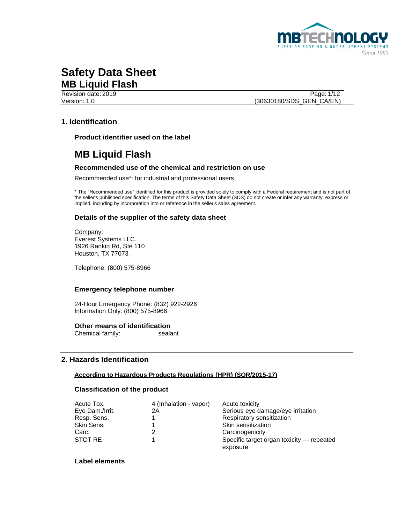

Revision date: 2019 Page: 1/12 Version: 1.0 (30630180/SDS\_GEN\_CA/EN)

## **1. Identification**

**Product identifier used on the label**

# **MB Liquid Flash**

### **Recommended use of the chemical and restriction on use**

Recommended use\*: for industrial and professional users

\* The "Recommended use" identified for this product is provided solely to comply with a Federal requirement and is not part of the seller's published specification. The terms of this Safety Data Sheet (SDS) do not create or infer any warranty, express or implied, including by incorporation into or reference in the seller's sales agreement.

#### **Details of the supplier of the safety data sheet**

Company: Everest Systems LLC. 1926 Rankin Rd, Ste 110 Houston, TX 77073

Telephone: (800) 575-8966

#### **Emergency telephone number**

24-Hour Emergency Phone: (832) 922-2926 Information Only: (800) 575-8966

#### **Other means of identification**

Chemical family: sealant

#### **2. Hazards Identification**

#### **According to Hazardous Products Regulations (HPR) (SOR/2015-17)**

#### **Classification of the product**

| Acute Tox.      | 4 (Inhalation - vapor) | Acute toxicity                                        |
|-----------------|------------------------|-------------------------------------------------------|
| Eye Dam./Irrit. | 2Α                     | Serious eye damage/eye irritation                     |
| Resp. Sens.     |                        | Respiratory sensitization                             |
| Skin Sens.      |                        | Skin sensitization                                    |
| Carc.           |                        | Carcinogenicity                                       |
| STOT RE         |                        | Specific target organ toxicity - repeated<br>exposure |

### **Label elements**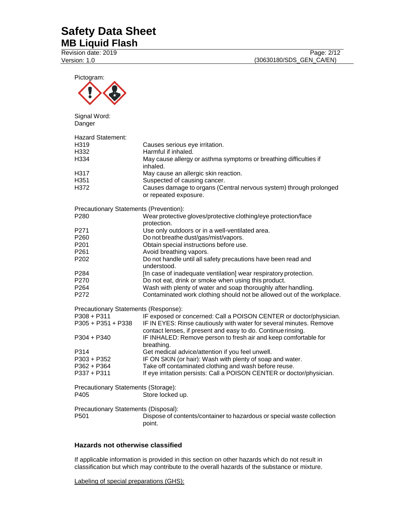Revision date: 2019 Version: 1.0

| Pictogram:                                               |                                                                                                                                                                                |
|----------------------------------------------------------|--------------------------------------------------------------------------------------------------------------------------------------------------------------------------------|
| Signal Word:<br>Danger                                   |                                                                                                                                                                                |
| <b>Hazard Statement:</b><br>H319<br>H332<br>H334<br>H317 | Causes serious eye irritation.<br>Harmful if inhaled.<br>May cause allergy or asthma symptoms or breathing difficulties if<br>inhaled.<br>May cause an allergic skin reaction. |
| H351<br>H372                                             | Suspected of causing cancer.<br>Causes damage to organs (Central nervous system) through prolonged<br>or repeated exposure.                                                    |
| Precautionary Statements (Prevention):                   |                                                                                                                                                                                |
| P <sub>280</sub>                                         | Wear protective gloves/protective clothing/eye protection/face                                                                                                                 |
| P271                                                     | protection.<br>Use only outdoors or in a well-ventilated area.                                                                                                                 |
| P <sub>260</sub>                                         | Do not breathe dust/gas/mist/vapors.                                                                                                                                           |
| P <sub>201</sub>                                         | Obtain special instructions before use.                                                                                                                                        |
| P <sub>261</sub>                                         | Avoid breathing vapors.                                                                                                                                                        |
| P <sub>202</sub>                                         | Do not handle until all safety precautions have been read and                                                                                                                  |
|                                                          | understood.                                                                                                                                                                    |
| P284                                                     | [In case of inadequate ventilation] wear respiratory protection.                                                                                                               |
| P270                                                     | Do not eat, drink or smoke when using this product.                                                                                                                            |
| P <sub>264</sub>                                         | Wash with plenty of water and soap thoroughly after handling.                                                                                                                  |
| P272                                                     | Contaminated work clothing should not be allowed out of the workplace.                                                                                                         |
| Precautionary Statements (Response):                     |                                                                                                                                                                                |
| $P308 + P311$                                            | IF exposed or concerned: Call a POISON CENTER or doctor/physician.                                                                                                             |
| $P305 + P351 + P338$                                     | IF IN EYES: Rinse cautiously with water for several minutes. Remove                                                                                                            |
| P304 + P340                                              | contact lenses, if present and easy to do. Continue rinsing.<br>IF INHALED: Remove person to fresh air and keep comfortable for<br>breathing.                                  |
| P314                                                     | Get medical advice/attention if you feel unwell.                                                                                                                               |
| $P303 + P352$                                            | IF ON SKIN (or hair): Wash with plenty of soap and water.                                                                                                                      |
| P362 + P364                                              | Take off contaminated clothing and wash before reuse.                                                                                                                          |
| P337 + P311                                              | If eye irritation persists: Call a POISON CENTER or doctor/physician.                                                                                                          |
| Precautionary Statements (Storage):                      |                                                                                                                                                                                |
| P405                                                     | Store locked up.                                                                                                                                                               |
| Precautionary Statements (Disposal):                     |                                                                                                                                                                                |
| P <sub>501</sub>                                         | Dispose of contents/container to hazardous or special waste collection<br>point.                                                                                               |

### **Hazards not otherwise classified**

If applicable information is provided in this section on other hazards which do not result in classification but which may contribute to the overall hazards of the substance or mixture.

Labeling of special preparations (GHS):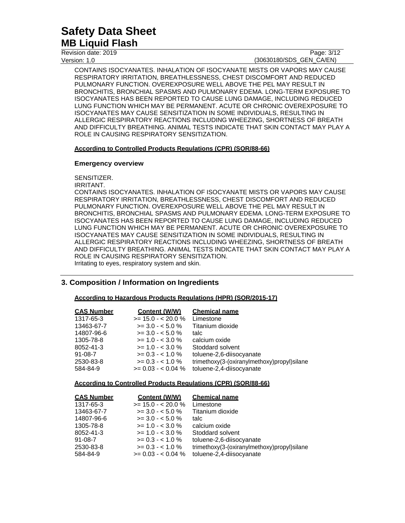Revision date: 2019 Version: 1.0

Page: 3/12 (30630180/SDS\_GEN\_CA/EN)

CONTAINS ISOCYANATES. INHALATION OF ISOCYANATE MISTS OR VAPORS MAY CAUSE RESPIRATORY IRRITATION, BREATHLESSNESS, CHEST DISCOMFORT AND REDUCED PULMONARY FUNCTION. OVEREXPOSURE WELL ABOVE THE PEL MAY RESULT IN BRONCHITIS, BRONCHIAL SPASMS AND PULMONARY EDEMA. LONG-TERM EXPOSURE TO ISOCYANATES HAS BEEN REPORTED TO CAUSE LUNG DAMAGE, INCLUDING REDUCED LUNG FUNCTION WHICH MAY BE PERMANENT. ACUTE OR CHRONIC OVEREXPOSURE TO ISOCYANATES MAY CAUSE SENSITIZATION IN SOME INDIVIDUALS, RESULTING IN ALLERGIC RESPIRATORY REACTIONS INCLUDING WHEEZING, SHORTNESS OF BREATH AND DIFFICULTY BREATHING. ANIMAL TESTS INDICATE THAT SKIN CONTACT MAY PLAY A ROLE IN CAUSING RESPIRATORY SENSITIZATION.

#### **According to Controlled Products Regulations (CPR) (SOR/88-66)**

#### **Emergency overview**

SENSITIZER.

IRRITANT.

CONTAINS ISOCYANATES. INHALATION OF ISOCYANATE MISTS OR VAPORS MAY CAUSE RESPIRATORY IRRITATION, BREATHLESSNESS, CHEST DISCOMFORT AND REDUCED PULMONARY FUNCTION. OVEREXPOSURE WELL ABOVE THE PEL MAY RESULT IN BRONCHITIS, BRONCHIAL SPASMS AND PULMONARY EDEMA. LONG-TERM EXPOSURE TO ISOCYANATES HAS BEEN REPORTED TO CAUSE LUNG DAMAGE, INCLUDING REDUCED LUNG FUNCTION WHICH MAY BE PERMANENT. ACUTE OR CHRONIC OVEREXPOSURE TO ISOCYANATES MAY CAUSE SENSITIZATION IN SOME INDIVIDUALS, RESULTING IN ALLERGIC RESPIRATORY REACTIONS INCLUDING WHEEZING, SHORTNESS OF BREATH AND DIFFICULTY BREATHING. ANIMAL TESTS INDICATE THAT SKIN CONTACT MAY PLAY A ROLE IN CAUSING RESPIRATORY SENSITIZATION. Irritating to eyes, respiratory system and skin.

### **3. Composition / Information on Ingredients**

### **According to Hazardous Products Regulations (HPR) (SOR/2015-17)**

| <b>CAS Number</b> | Content (W/W)        | <b>Chemical name</b>                        |
|-------------------|----------------------|---------------------------------------------|
| 1317-65-3         | $>= 15.0 - < 20.0 %$ | Limestone                                   |
| 13463-67-7        | $>=$ 3.0 - $<$ 5.0 % | Titanium dioxide                            |
| 14807-96-6        | $>= 3.0 - 5.0 %$     | talc                                        |
| 1305-78-8         | $>= 1.0 - < 3.0 \%$  | calcium oxide                               |
| 8052-41-3         | $>= 1.0 - < 3.0 \%$  | Stoddard solvent                            |
| 91-08-7           | $>= 0.3 - 1.0 \%$    | toluene-2,6-diisocyanate                    |
| 2530-83-8         | $>= 0.3 - 1.0 \%$    | trimethoxy(3-(oxiranylmethoxy)propyl)silane |
| 584-84-9          | $>= 0.03 - 0.04$ %   | toluene-2,4-diisocyanate                    |
|                   |                      |                                             |

#### **According to Controlled Products Regulations (CPR) (SOR/88-66)**

| <b>CAS Number</b> | <b>Content (W/W)</b> | <b>Chemical name</b>                        |
|-------------------|----------------------|---------------------------------------------|
| 1317-65-3         | $>= 15.0 - 20.0 %$   | Limestone                                   |
| 13463-67-7        | $>= 3.0 - 5.0 %$     | Titanium dioxide                            |
| 14807-96-6        | $>= 3.0 - 5.0 %$     | talc                                        |
| 1305-78-8         | $>= 1.0 - < 3.0 \%$  | calcium oxide                               |
| 8052-41-3         | $>= 1.0 - < 3.0 \%$  | Stoddard solvent                            |
| $91 - 08 - 7$     | $>= 0.3 - 1.0 \%$    | toluene-2,6-diisocyanate                    |
| 2530-83-8         | $>= 0.3 - 1.0 \%$    | trimethoxy(3-(oxiranylmethoxy)propyl)silane |
| 584-84-9          | $>= 0.03 - 0.04$ %   | toluene-2,4-diisocyanate                    |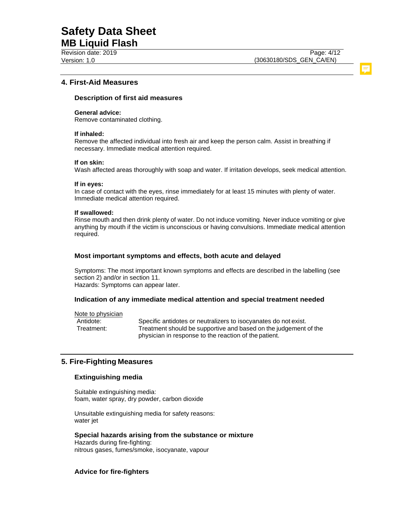Revision date: 2019 Version: 1.0

### **4. First-Aid Measures**

#### **Description of first aid measures**

#### **General advice:**

Remove contaminated clothing.

#### **If inhaled:**

Remove the affected individual into fresh air and keep the person calm. Assist in breathing if necessary. Immediate medical attention required.

#### **If on skin:**

Wash affected areas thoroughly with soap and water. If irritation develops, seek medical attention.

#### **If in eyes:**

In case of contact with the eyes, rinse immediately for at least 15 minutes with plenty of water. Immediate medical attention required.

#### **If swallowed:**

Rinse mouth and then drink plenty of water. Do not induce vomiting. Never induce vomiting or give anything by mouth if the victim is unconscious or having convulsions. Immediate medical attention required.

#### **Most important symptoms and effects, both acute and delayed**

Symptoms: The most important known symptoms and effects are described in the labelling (see section 2) and/or in section 11. Hazards: Symptoms can appear later.

#### **Indication of any immediate medical attention and special treatment needed**

Note to physician

Antidote: Specific antidotes or neutralizers to isocyanates do not exist. Treatment: Treatment should be supportive and based on the judgement of the physician in response to the reaction of the patient.

### **5. Fire-Fighting Measures**

### **Extinguishing media**

Suitable extinguishing media: foam, water spray, dry powder, carbon dioxide

Unsuitable extinguishing media for safety reasons: water jet

#### **Special hazards arising from the substance or mixture** Hazards during fire-fighting:

nitrous gases, fumes/smoke, isocyanate, vapour

### **Advice for fire-fighters**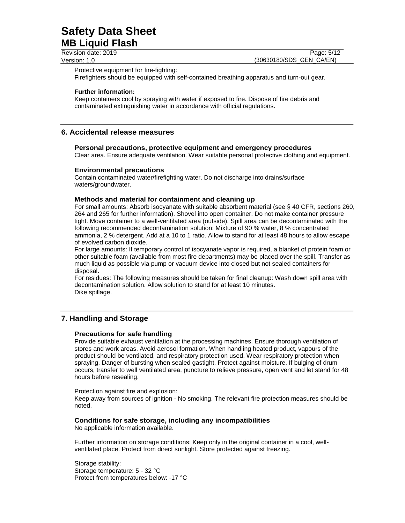Revision date: 2019 Version: 1.0

Page: 5/12 (30630180/SDS\_GEN\_CA/EN)

Protective equipment for fire-fighting:

Firefighters should be equipped with self-contained breathing apparatus and turn-out gear.

#### **Further information:**

Keep containers cool by spraying with water if exposed to fire. Dispose of fire debris and contaminated extinguishing water in accordance with official regulations.

### **6. Accidental release measures**

#### **Personal precautions, protective equipment and emergency procedures**

Clear area. Ensure adequate ventilation. Wear suitable personal protective clothing and equipment.

#### **Environmental precautions**

Contain contaminated water/firefighting water. Do not discharge into drains/surface waters/groundwater.

#### **Methods and material for containment and cleaning up**

For small amounts: Absorb isocyanate with suitable absorbent material (see § 40 CFR, sections 260, 264 and 265 for further information). Shovel into open container. Do not make container pressure tight. Move container to a well-ventilated area (outside). Spill area can be decontaminated with the following recommended decontamination solution: Mixture of 90 % water, 8 % concentrated ammonia, 2 % detergent. Add at a 10 to 1 ratio. Allow to stand for at least 48 hours to allow escape of evolved carbon dioxide.

For large amounts: If temporary control of isocyanate vapor is required, a blanket of protein foam or other suitable foam (available from most fire departments) may be placed over the spill. Transfer as much liquid as possible via pump or vacuum device into closed but not sealed containers for disposal.

For residues: The following measures should be taken for final cleanup: Wash down spill area with decontamination solution. Allow solution to stand for at least 10 minutes. Dike spillage.

### **7. Handling and Storage**

#### **Precautions for safe handling**

Provide suitable exhaust ventilation at the processing machines. Ensure thorough ventilation of stores and work areas. Avoid aerosol formation. When handling heated product, vapours of the product should be ventilated, and respiratory protection used. Wear respiratory protection when spraying. Danger of bursting when sealed gastight. Protect against moisture. If bulging of drum occurs, transfer to well ventilated area, puncture to relieve pressure, open vent and let stand for 48 hours before resealing.

Protection against fire and explosion:

Keep away from sources of ignition - No smoking. The relevant fire protection measures should be noted.

#### **Conditions for safe storage, including any incompatibilities**

No applicable information available.

Further information on storage conditions: Keep only in the original container in a cool, wellventilated place. Protect from direct sunlight. Store protected against freezing.

Storage stability: Storage temperature: 5 - 32 °C Protect from temperatures below: -17 °C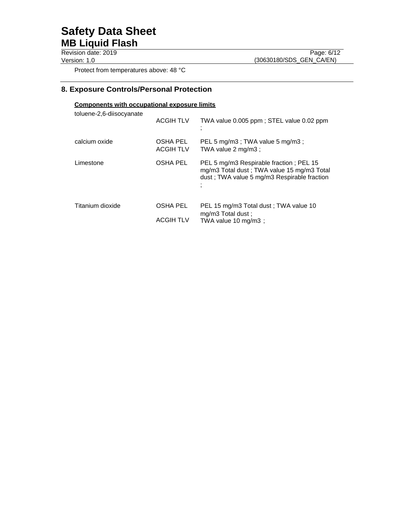Revision date: 2019 Version: 1.0

Page: 6/12 (30630180/SDS\_GEN\_CA/EN)

Protect from temperatures above: 48 °C

# **8. Exposure Controls/Personal Protection**

### **Components with occupational exposure limits**

| toluene-2,6-diisocyanate | <b>ACGIH TLV</b>                    | TWA value 0.005 ppm; STEL value 0.02 ppm                                                                                             |
|--------------------------|-------------------------------------|--------------------------------------------------------------------------------------------------------------------------------------|
| calcium oxide            | OSHA PEL<br><b>ACGIH TLV</b>        | PEL 5 mg/m3; TWA value 5 mg/m3;<br>TWA value 2 mg/m3;                                                                                |
| Limestone                | <b>OSHA PEL</b>                     | PEL 5 mg/m3 Respirable fraction; PEL 15<br>mg/m3 Total dust; TWA value 15 mg/m3 Total<br>dust; TWA value 5 mg/m3 Respirable fraction |
| Titanium dioxide         | <b>OSHA PEL</b><br><b>ACGIH TLV</b> | PEL 15 mg/m3 Total dust; TWA value 10<br>mg/m3 Total dust;<br>TWA value 10 mg/m3;                                                    |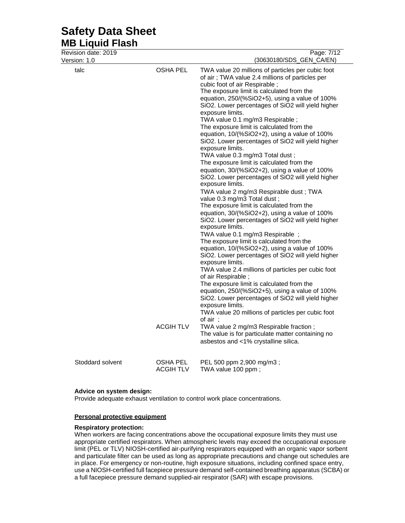| Revision date: 2019 |                                     | Page: 7/12                                                                                                                                                                                                                                                                                                                                                                                                                                                                                                                                                                                                                                                                                                                                                                                                                                                                                                                                                                                                                                                                                                                                                                                                                                                                                                                                                                                                                                                                                                                                                                                                                                                |
|---------------------|-------------------------------------|-----------------------------------------------------------------------------------------------------------------------------------------------------------------------------------------------------------------------------------------------------------------------------------------------------------------------------------------------------------------------------------------------------------------------------------------------------------------------------------------------------------------------------------------------------------------------------------------------------------------------------------------------------------------------------------------------------------------------------------------------------------------------------------------------------------------------------------------------------------------------------------------------------------------------------------------------------------------------------------------------------------------------------------------------------------------------------------------------------------------------------------------------------------------------------------------------------------------------------------------------------------------------------------------------------------------------------------------------------------------------------------------------------------------------------------------------------------------------------------------------------------------------------------------------------------------------------------------------------------------------------------------------------------|
| Version: 1.0        |                                     | (30630180/SDS_GEN_CA/EN)                                                                                                                                                                                                                                                                                                                                                                                                                                                                                                                                                                                                                                                                                                                                                                                                                                                                                                                                                                                                                                                                                                                                                                                                                                                                                                                                                                                                                                                                                                                                                                                                                                  |
| talc                | <b>OSHA PEL</b><br><b>ACGIH TLV</b> | TWA value 20 millions of particles per cubic foot<br>of air; TWA value 2.4 millions of particles per<br>cubic foot of air Respirable;<br>The exposure limit is calculated from the<br>equation, 250/(%SiO2+5), using a value of 100%<br>SiO2. Lower percentages of SiO2 will yield higher<br>exposure limits.<br>TWA value 0.1 mg/m3 Respirable;<br>The exposure limit is calculated from the<br>equation, 10/(%SiO2+2), using a value of 100%<br>SiO2. Lower percentages of SiO2 will yield higher<br>exposure limits.<br>TWA value 0.3 mg/m3 Total dust;<br>The exposure limit is calculated from the<br>equation, 30/(%SiO2+2), using a value of 100%<br>SiO2. Lower percentages of SiO2 will yield higher<br>exposure limits.<br>TWA value 2 mg/m3 Respirable dust ; TWA<br>value 0.3 mg/m3 Total dust;<br>The exposure limit is calculated from the<br>equation, 30/(%SiO2+2), using a value of 100%<br>SiO2. Lower percentages of SiO2 will yield higher<br>exposure limits.<br>TWA value 0.1 mg/m3 Respirable ;<br>The exposure limit is calculated from the<br>equation, 10/(%SiO2+2), using a value of 100%<br>SiO2. Lower percentages of SiO2 will yield higher<br>exposure limits.<br>TWA value 2.4 millions of particles per cubic foot<br>of air Respirable;<br>The exposure limit is calculated from the<br>equation, 250/(%SiO2+5), using a value of 100%<br>SiO2. Lower percentages of SiO2 will yield higher<br>exposure limits.<br>TWA value 20 millions of particles per cubic foot<br>of air ;<br>TWA value 2 mg/m3 Respirable fraction;<br>The value is for particulate matter containing no<br>asbestos and <1% crystalline silica. |
| Stoddard solvent    | OSHA PEL<br><b>ACGIH TLV</b>        | PEL 500 ppm 2,900 mg/m3;<br>TWA value 100 ppm;                                                                                                                                                                                                                                                                                                                                                                                                                                                                                                                                                                                                                                                                                                                                                                                                                                                                                                                                                                                                                                                                                                                                                                                                                                                                                                                                                                                                                                                                                                                                                                                                            |

#### **Advice on system design:**

Provide adequate exhaust ventilation to control work place concentrations.

#### **Personal protective equipment**

#### **Respiratory protection:**

When workers are facing concentrations above the occupational exposure limits they must use appropriate certified respirators. When atmospheric levels may exceed the occupational exposure limit (PEL or TLV) NIOSH-certified air-purifying respirators equipped with an organic vapor sorbent and particulate filter can be used as long as appropriate precautions and change out schedules are in place. For emergency or non-routine, high exposure situations, including confined space entry, use a NIOSH-certified full facepiece pressure demand self-contained breathing apparatus (SCBA) or a full facepiece pressure demand supplied-air respirator (SAR) with escape provisions.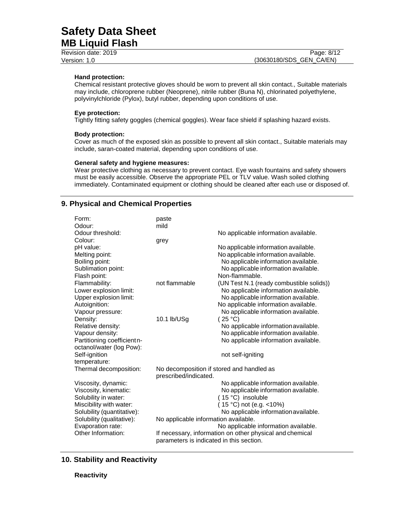| Revision date: 2019 | Page: 8/12               |
|---------------------|--------------------------|
| Version: 1.0        | (30630180/SDS GEN CA/EN) |

#### **Hand protection:**

Chemical resistant protective gloves should be worn to prevent all skin contact., Suitable materials may include, chloroprene rubber (Neoprene), nitrile rubber (Buna N), chlorinated polyethylene, polyvinylchloride (Pylox), butyl rubber, depending upon conditions of use.

#### **Eye protection:**

Tightly fitting safety goggles (chemical goggles). Wear face shield if splashing hazard exists.

#### **Body protection:**

Cover as much of the exposed skin as possible to prevent all skin contact., Suitable materials may include, saran-coated material, depending upon conditions of use.

#### **General safety and hygiene measures:**

Wear protective clothing as necessary to prevent contact. Eye wash fountains and safety showers must be easily accessible. Observe the appropriate PEL or TLV value. Wash soiled clothing immediately. Contaminated equipment or clothing should be cleaned after each use or disposed of.

### **9. Physical and Chemical Properties**

| Form:<br>Odour:                                        | paste<br>mild                                                      |                                                                                                                      |
|--------------------------------------------------------|--------------------------------------------------------------------|----------------------------------------------------------------------------------------------------------------------|
| Odour threshold:                                       |                                                                    | No applicable information available.                                                                                 |
| Colour:<br>pH value:                                   | grey                                                               | No applicable information available.                                                                                 |
| Melting point:<br>Boiling point:<br>Sublimation point: |                                                                    | No applicable information available.<br>No applicable information available.<br>No applicable information available. |
| Flash point:                                           |                                                                    | Non-flammable.                                                                                                       |
| Flammability:                                          | not flammable                                                      | (UN Test N.1 (ready combustible solids))                                                                             |
| Lower explosion limit:<br>Upper explosion limit:       |                                                                    | No applicable information available.<br>No applicable information available.                                         |
| Autoignition:                                          |                                                                    | No applicable information available.                                                                                 |
| Vapour pressure:<br>Density:                           | 10.1 lb/USg                                                        | No applicable information available.<br>(25 °C)                                                                      |
| Relative density:                                      |                                                                    | No applicable information available.                                                                                 |
| Vapour density:                                        |                                                                    | No applicable information available.                                                                                 |
| Partitioning coefficientn-<br>octanol/water (log Pow): |                                                                    | No applicable information available.                                                                                 |
| Self-ignition                                          |                                                                    | not self-igniting                                                                                                    |
| temperature:                                           |                                                                    |                                                                                                                      |
| Thermal decomposition:                                 | No decomposition if stored and handled as<br>prescribed/indicated. |                                                                                                                      |
| Viscosity, dynamic:                                    |                                                                    | No applicable information available.                                                                                 |
| Viscosity, kinematic:<br>Solubility in water:          |                                                                    | No applicable information available.<br>(15 °C) insoluble                                                            |
| Miscibility with water:                                |                                                                    | (15 °C) not (e.g. <10%)                                                                                              |
| Solubility (quantitative):                             |                                                                    | No applicable information available.                                                                                 |
| Solubility (qualitative):                              | No applicable information available.                               |                                                                                                                      |
| Evaporation rate:                                      |                                                                    | No applicable information available.                                                                                 |
| Other Information:                                     | parameters is indicated in this section.                           | If necessary, information on other physical and chemical                                                             |

### **10. Stability and Reactivity**

#### **Reactivity**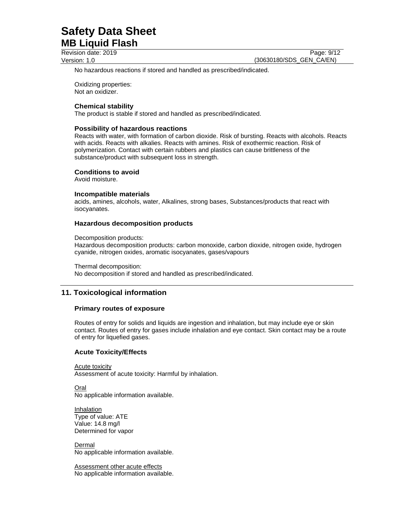Revision date: 2019 Version: 1.0

Page: 9/12 (30630180/SDS\_GEN\_CA/EN)

No hazardous reactions if stored and handled as prescribed/indicated.

Oxidizing properties: Not an oxidizer.

#### **Chemical stability**

The product is stable if stored and handled as prescribed/indicated.

#### **Possibility of hazardous reactions**

Reacts with water, with formation of carbon dioxide. Risk of bursting. Reacts with alcohols. Reacts with acids. Reacts with alkalies. Reacts with amines. Risk of exothermic reaction. Risk of polymerization. Contact with certain rubbers and plastics can cause brittleness of the substance/product with subsequent loss in strength.

#### **Conditions to avoid**

Avoid moisture.

#### **Incompatible materials**

acids, amines, alcohols, water, Alkalines, strong bases, Substances/products that react with isocyanates.

#### **Hazardous decomposition products**

Decomposition products:

Hazardous decomposition products: carbon monoxide, carbon dioxide, nitrogen oxide, hydrogen cyanide, nitrogen oxides, aromatic isocyanates, gases/vapours

Thermal decomposition: No decomposition if stored and handled as prescribed/indicated.

### **11. Toxicological information**

#### **Primary routes of exposure**

Routes of entry for solids and liquids are ingestion and inhalation, but may include eye or skin contact. Routes of entry for gases include inhalation and eye contact. Skin contact may be a route of entry for liquefied gases.

#### **Acute Toxicity/Effects**

Acute toxicity Assessment of acute toxicity: Harmful by inhalation.

Oral No applicable information available.

Inhalation Type of value: ATE Value: 14.8 mg/l Determined for vapor

Dermal No applicable information available.

Assessment other acute effects No applicable information available.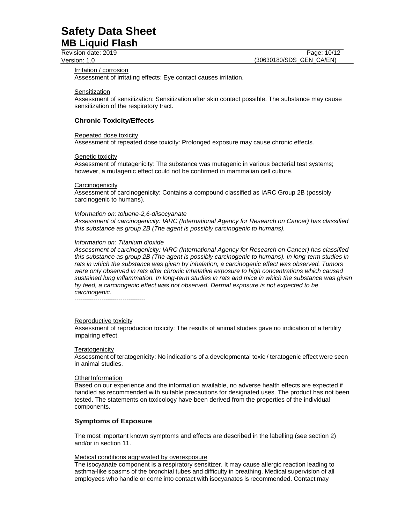Revision date: 2019 Version: 1.0

Page: 10/12 (30630180/SDS\_GEN\_CA/EN)

#### Irritation / corrosion

Assessment of irritating effects: Eye contact causes irritation.

**Sensitization** 

Assessment of sensitization: Sensitization after skin contact possible. The substance may cause sensitization of the respiratory tract.

#### **Chronic Toxicity/Effects**

#### Repeated dose toxicity

Assessment of repeated dose toxicity: Prolonged exposure may cause chronic effects.

#### Genetic toxicity

Assessment of mutagenicity: The substance was mutagenic in various bacterial test systems; however, a mutagenic effect could not be confirmed in mammalian cell culture.

#### **Carcinogenicity**

Assessment of carcinogenicity: Contains a compound classified as IARC Group 2B (possibly carcinogenic to humans).

#### *Information on: toluene-2,6-diisocyanate*

*Assessment of carcinogenicity: IARC (International Agency for Research on Cancer) has classified this substance as group 2B (The agent is possibly carcinogenic to humans).*

#### *Information on: Titanium dioxide*

*Assessment of carcinogenicity: IARC (International Agency for Research on Cancer) has classified this substance as group 2B (The agent is possibly carcinogenic to humans). In long-term studies in rats in which the substance was given by inhalation, a carcinogenic effect was observed. Tumors were only observed in rats after chronic inhalative exposure to high concentrations which caused sustained lung inflammation. In long-term studies in rats and mice in which the substance was given by feed, a carcinogenic effect was not observed. Dermal exposure is not expected to be carcinogenic.*

----------------------------------

#### Reproductive toxicity

Assessment of reproduction toxicity: The results of animal studies gave no indication of a fertility impairing effect.

#### **Teratogenicity**

Assessment of teratogenicity: No indications of a developmental toxic / teratogenic effect were seen in animal studies.

#### Other Information

Based on our experience and the information available, no adverse health effects are expected if handled as recommended with suitable precautions for designated uses. The product has not been tested. The statements on toxicology have been derived from the properties of the individual components.

### **Symptoms of Exposure**

The most important known symptoms and effects are described in the labelling (see section 2) and/or in section 11.

#### Medical conditions aggravated by overexposure

The isocyanate component is a respiratory sensitizer. It may cause allergic reaction leading to asthma-like spasms of the bronchial tubes and difficulty in breathing. Medical supervision of all employees who handle or come into contact with isocyanates is recommended. Contact may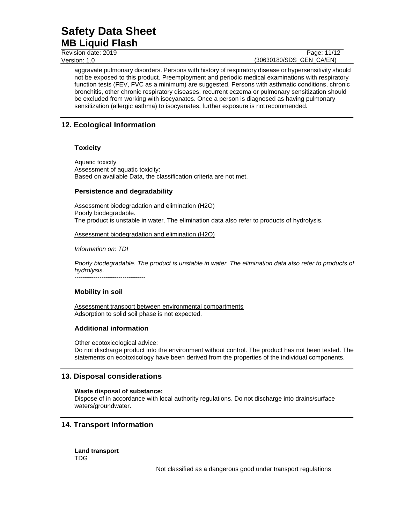Revision date: 2019 Version: 1.0

#### Page: 11/12 (30630180/SDS\_GEN\_CA/EN)

aggravate pulmonary disorders. Persons with history of respiratory disease or hypersensitivity should not be exposed to this product. Preemployment and periodic medical examinations with respiratory function tests (FEV, FVC as a minimum) are suggested. Persons with asthmatic conditions, chronic bronchitis, other chronic respiratory diseases, recurrent eczema or pulmonary sensitization should be excluded from working with isocyanates. Once a person is diagnosed as having pulmonary sensitization (allergic asthma) to isocyanates, further exposure is notrecommended.

# **12. Ecological Information**

### **Toxicity**

Aquatic toxicity Assessment of aquatic toxicity: Based on available Data, the classification criteria are not met.

### **Persistence and degradability**

Assessment biodegradation and elimination (H2O) Poorly biodegradable. The product is unstable in water. The elimination data also refer to products of hydrolysis.

Assessment biodegradation and elimination (H2O)

*Information on: TDI*

*Poorly biodegradable. The product is unstable in water. The elimination data also refer to products of hydrolysis.* ----------------------------------

### **Mobility in soil**

Assessment transport between environmental compartments Adsorption to solid soil phase is not expected.

### **Additional information**

Other ecotoxicological advice: Do not discharge product into the environment without control. The product has not been tested. The statements on ecotoxicology have been derived from the properties of the individual components.

### **13. Disposal considerations**

### **Waste disposal of substance:**

Dispose of in accordance with local authority regulations. Do not discharge into drains/surface waters/groundwater.

### **14. Transport Information**

**Land transport** TDG

Not classified as a dangerous good under transport regulations